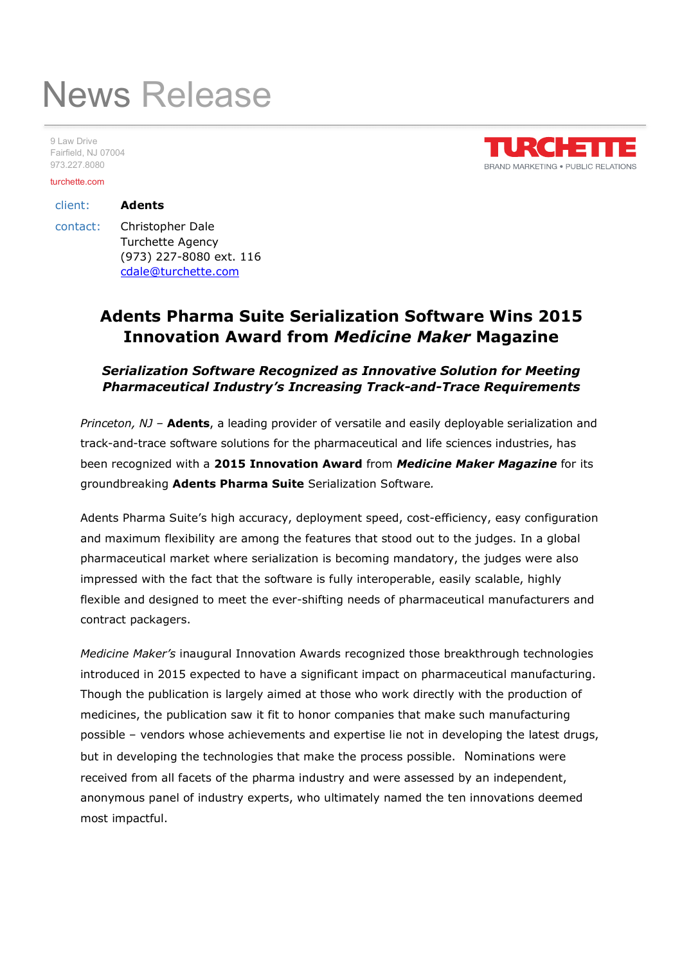# News Release

9 Law Drive Fairfield, NJ 07004 973.227.8080

#### turchette.com



## client: Adents contact: Christopher Dale Turchette Agency (973) 227-8080 ext. 116 cdale@turchette.com

## Adents Pharma Suite Serialization Software Wins 2015 Innovation Award from Medicine Maker Magazine

## Serialization Software Recognized as Innovative Solution for Meeting Pharmaceutical Industry's Increasing Track-and-Trace Requirements

Princeton, NJ - Adents, a leading provider of versatile and easily deployable serialization and track-and-trace software solutions for the pharmaceutical and life sciences industries, has been recognized with a 2015 Innovation Award from Medicine Maker Magazine for its groundbreaking **Adents Pharma Suite** Serialization Software.<br>Adents Pharma Suite's high accuracy, deployment speed, cost-efficiency, easy configuration

and maximum flexibility are among the features that stood out to the judges. In a global pharmaceutical market where serialization is becoming mandatory, the judges were also impressed with the fact that the software is fully interoperable, easily scalable, highly flexible and designed to meet the ever-shifting needs of pharmaceutical manufacturers and contract packagers.

Medicine Maker's inaugural Innovation Awards recognized those breakthrough technologies introduced in 2015 expected to have a significant impact on pharmaceutical manufacturing. Though the publication is largely aimed at those who work directly with the production of medicines, the publication saw it fit to honor companies that make such manufacturing possible – vendors whose achievements and expertise lie not in developing the latest drugs, but in developing the technologies that make the process possible. Nominations were received from all facets of the pharma industry and were assessed by an independent, anonymous panel of industry experts, who ultimately named the ten innovations deemed most impactful.